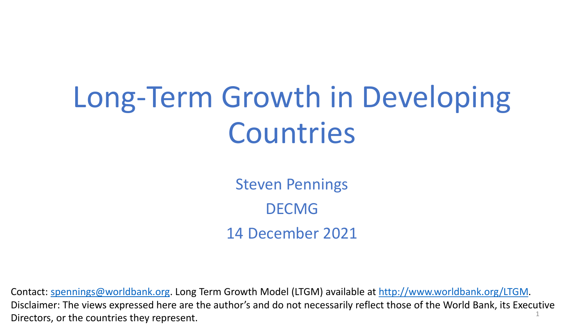# Long-Term Growth in Developing Countries

Steven Pennings DECMG 14 December 2021

1 Contact: [spennings@worldbank.org](mailto:spennings@worldbank.org). Long Term Growth Model (LTGM) available at [http://www.worldbank.org/LTGM.](http://www.worldbank.org/LTGM) Disclaimer: The views expressed here are the author's and do not necessarily reflect those of the World Bank, its Executive Directors, or the countries they represent.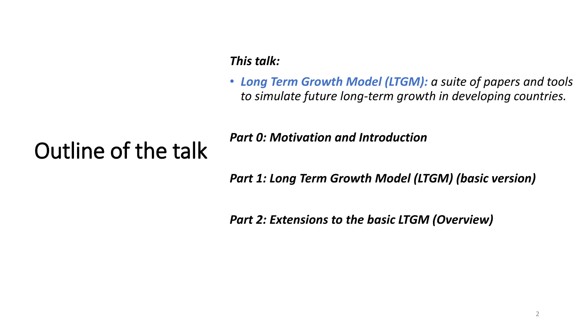### *This talk:*

• *Long Term Growth Model (LTGM): a suite of papers and tools to simulate future long-term growth in developing countries.* 

## Outline of the talk

*Part 0: Motivation and Introduction*

*Part 1: Long Term Growth Model (LTGM) (basic version)*

*Part 2: Extensions to the basic LTGM (Overview)*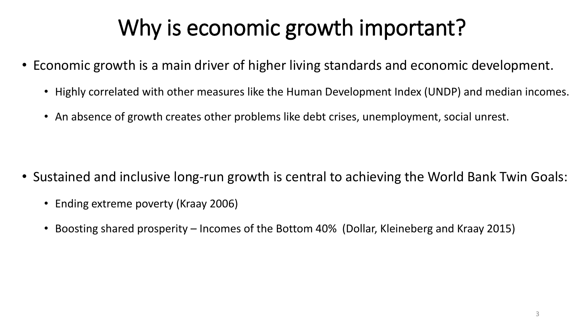# Why is economic growth important?

- Economic growth is a main driver of higher living standards and economic development.
	- Highly correlated with other measures like the Human Development Index (UNDP) and median incomes.
	- An absence of growth creates other problems like debt crises, unemployment, social unrest.

- Sustained and inclusive long-run growth is central to achieving the World Bank Twin Goals:
	- Ending extreme poverty (Kraay 2006)
	- Boosting shared prosperity Incomes of the Bottom 40% (Dollar, Kleineberg and Kraay 2015)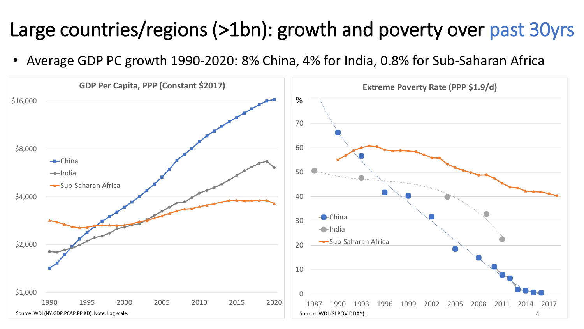### Large countries/regions (>1bn): growth and poverty over past 30yrs

• Average GDP PC growth 1990-2020: 8% China, 4% for India, 0.8% for Sub-Saharan Africa

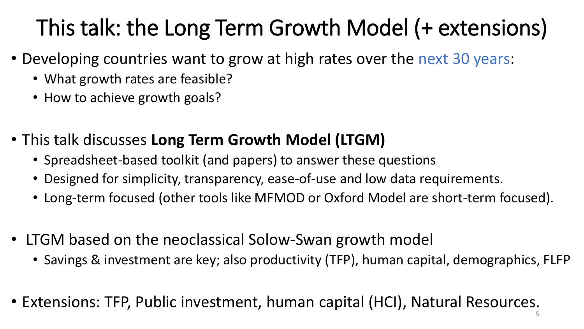# This talk: the Long Term Growth Model (+ extensions)

- Developing countries want to grow at high rates over the next 30 years:
	- What growth rates are feasible?
	- How to achieve growth goals?
- This talk discusses **Long Term Growth Model (LTGM)**
	- Spreadsheet-based toolkit (and papers) to answer these questions
	- Designed for simplicity, transparency, ease-of-use and low data requirements.
	- Long-term focused (other tools like MFMOD or Oxford Model are short-term focused).
- LTGM based on the neoclassical Solow-Swan growth model
	- Savings & investment are key; also productivity (TFP), human capital, demographics, FLFP
- Extensions: TFP, Public investment, human capital (HCI), Natural Resources.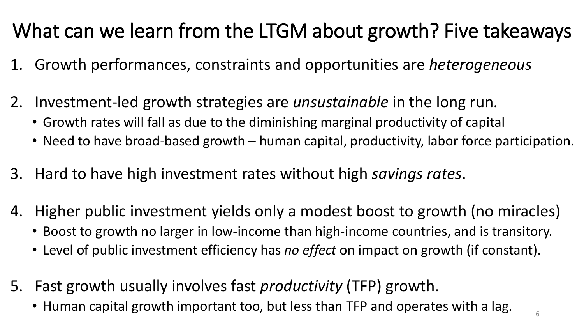## What can we learn from the LTGM about growth? Five takeaways

- 1. Growth performances, constraints and opportunities are *heterogeneous*
- 2. Investment-led growth strategies are *unsustainable* in the long run.
	- Growth rates will fall as due to the diminishing marginal productivity of capital
	- Need to have broad-based growth human capital, productivity, labor force participation.
- 3. Hard to have high investment rates without high *savings rates*.
- 4. Higher public investment yields only a modest boost to growth (no miracles)
	- Boost to growth no larger in low-income than high-income countries, and is transitory.
	- Level of public investment efficiency has *no effect* on impact on growth (if constant).
- 5. Fast growth usually involves fast *productivity* (TFP) growth.
	- Human capital growth important too, but less than TFP and operates with a lag.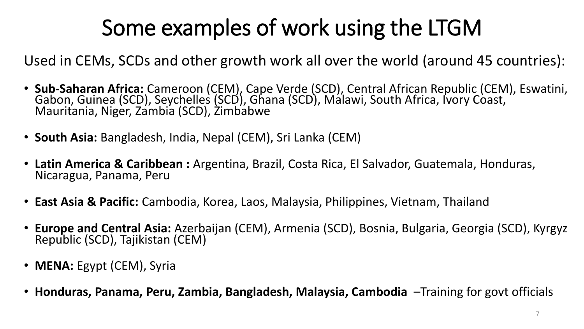# Some examples of work using the LTGM

Used in CEMs, SCDs and other growth work all over the world (around 45 countries):

- **Sub-Saharan Africa:** Cameroon (CEM), Cape Verde (SCD), Central African Republic (CEM), Eswatini, Gabon, Guinea (SCD), Seychelles (SCD), Ghana (SCD), Malawi, South Africa, Ivory Coast, Mauritania, Niger, Zambia (SCD), Żimbabwe
- **South Asia:** Bangladesh, India, Nepal (CEM), Sri Lanka (CEM)
- **Latin America & Caribbean :** Argentina, Brazil, Costa Rica, El Salvador, Guatemala, Honduras, Nicaragua, Panama, Peru
- **East Asia & Pacific:** Cambodia, Korea, Laos, Malaysia, Philippines, Vietnam, Thailand
- **Europe and Central Asia:** Azerbaijan (CEM), Armenia (SCD), Bosnia, Bulgaria, Georgia (SCD), Kyrgyz Republic (SCD), Tajikistan (CEM)
- **MENA:** Egypt (CEM), Syria
- **Honduras, Panama, Peru, Zambia, Bangladesh, Malaysia, Cambodia** –Training for govt officials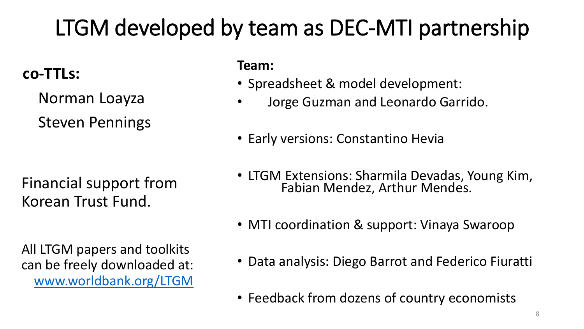# LTGM developed by team as DEC-MTI partnership

### **co-TTLs:**

Norman Loayza

Steven Pennings

Financial support from Korean Trust Fund.

All LTGM papers and toolkits can be freely downloaded at: [www.worldbank.org/LTGM](http://www.worldbank.org/LTGM) **Team:**

- Spreadsheet & model development:
	- Jorge Guzman and Leonardo Garrido.
- Early versions: Constantino Hevia
- LTGM Extensions: Sharmila Devadas, Young Kim, Fabian Mendez, Arthur Mendes.
- MTI coordination & support: Vinaya Swaroop
- Data analysis: Diego Barrot and Federico Fiuratti
- Feedback from dozens of country economists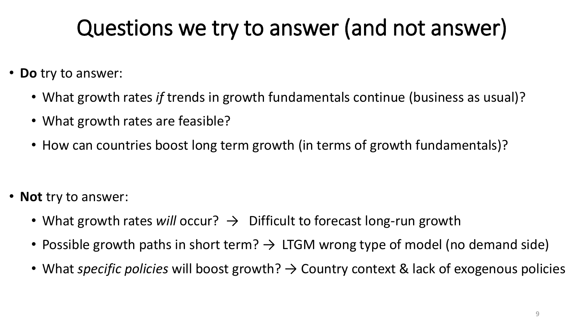# Questions we try to answer (and not answer)

- **Do** try to answer:
	- What growth rates *if* trends in growth fundamentals continue (business as usual)?
	- What growth rates are feasible?
	- How can countries boost long term growth (in terms of growth fundamentals)?

- **Not** try to answer:
	- What growth rates *will* occur?  $\rightarrow$  Difficult to forecast long-run growth
	- Possible growth paths in short term?  $\rightarrow$  LTGM wrong type of model (no demand side)
	- What *specific policies* will boost growth? → Country context & lack of exogenous policies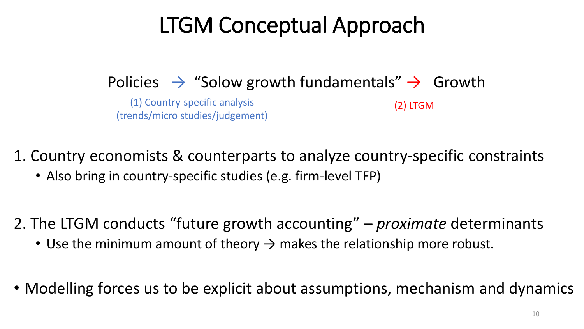# LTGM Conceptual Approach

Policies  $\rightarrow$  "Solow growth fundamentals"  $\rightarrow$  Growth

(1) Country-specific analysis (trends/micro studies/judgement)

(2) LTGM

1. Country economists & counterparts to analyze country-specific constraints

• Also bring in country-specific studies (e.g. firm-level TFP)

2. The LTGM conducts "future growth accounting" – *proximate* determinants

- Use the minimum amount of theory  $\rightarrow$  makes the relationship more robust.
- Modelling forces us to be explicit about assumptions, mechanism and dynamics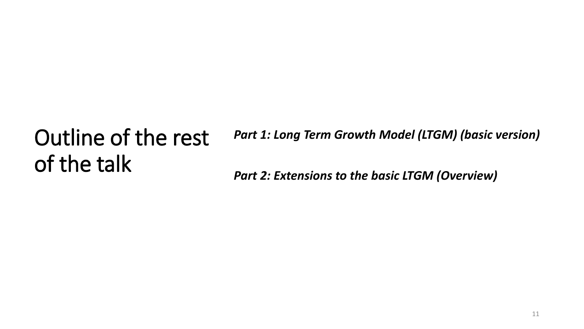### Outline of the rest of the talk *Part 1: Long Term Growth Model (LTGM) (basic version) Part 2: Extensions to the basic LTGM (Overview)*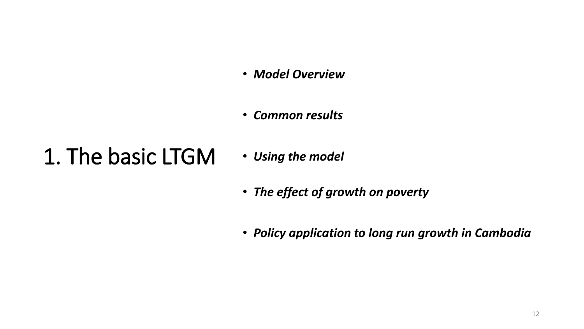- *Model Overview*
- *Common results*

## 1. The basic LTGM

- *Using the model*
- *The effect of growth on poverty*
- *Policy application to long run growth in Cambodia*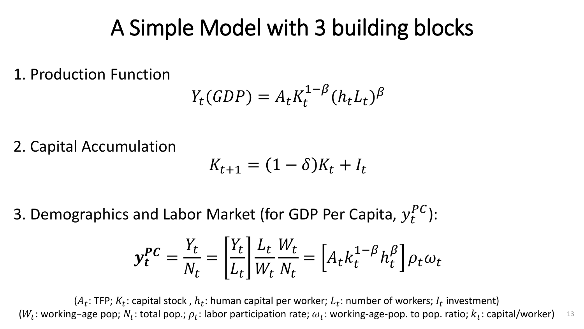## A Simple Model with 3 building blocks

1. Production Function

$$
Y_t(GDP) = A_t K_t^{1-\beta} (h_t L_t)^{\beta}
$$

2. Capital Accumulation

$$
K_{t+1} = (1 - \delta)K_t + I_t
$$

3. Demographics and Labor Market (for GDP Per Capita,  $y_t^{PC}$ ):

$$
\mathbf{y}_t^{PC} = \frac{Y_t}{N_t} = \left[\frac{Y_t}{L_t}\right] \frac{L_t}{W_t} \frac{W_t}{N_t} = \left[A_t k_t^{1-\beta} h_t^{\beta}\right] \rho_t \omega_t
$$

( $A_t$ : TFP;  $K_t$ : capital stock ,  $h_t$ : human capital per worker;  $L_t$ : number of workers;  $I_t$  investment) ( $W_t$ : working-age pop;  $N_t$ : total pop.;  $\rho_t$ : labor participation rate;  $\omega_t$ : working-age-pop. to pop. ratio;  $k_t$ : capital/worker) 13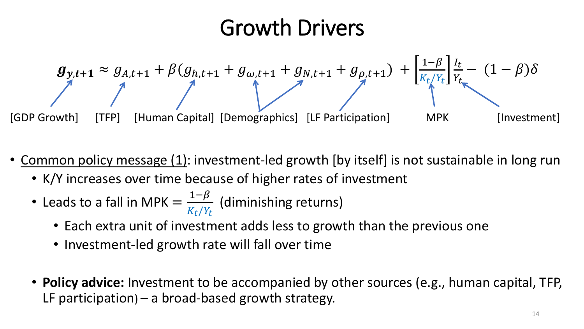## Growth Drivers



- Common policy message (1): investment-led growth [by itself] is not sustainable in long run
	- K/Y increases over time because of higher rates of investment
	- Leads to a fall in MPK =  $1-\beta$  $K_t/Y_t$ (diminishing returns)
		- Each extra unit of investment adds less to growth than the previous one
		- Investment-led growth rate will fall over time
	- **Policy advice:** Investment to be accompanied by other sources (e.g., human capital, TFP, LF participation) – a broad-based growth strategy.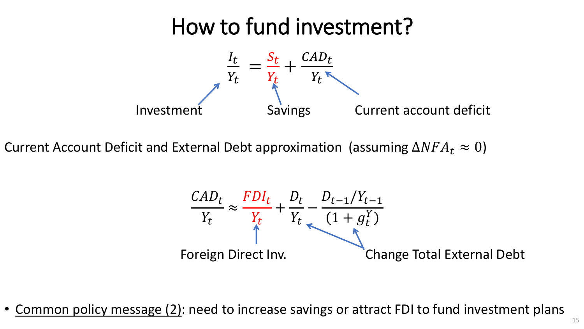## How to fund investment?



Current Account Deficit and External Debt approximation (assuming  $\Delta NFA_t \approx 0$ )

$$
\frac{CAD_t}{Y_t} \approx \frac{FDI_t}{Y_t} + \frac{D_t}{Y_t} - \frac{D_{t-1}/Y_{t-1}}{(1+g_t^Y)}
$$
  
Foreign Direct Inv.  
Change Total External Debt

• Common policy message (2): need to increase savings or attract FDI to fund investment plans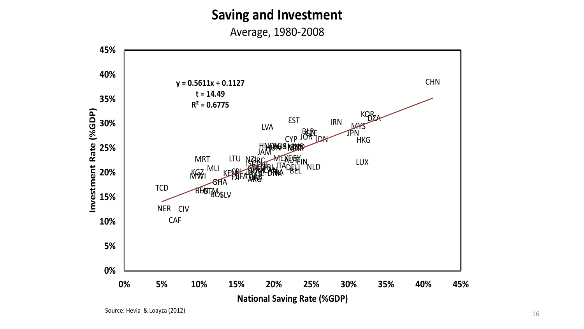### **Saving and Investment**

Average, 1980-2008



Source: Hevia & Loayza (2012)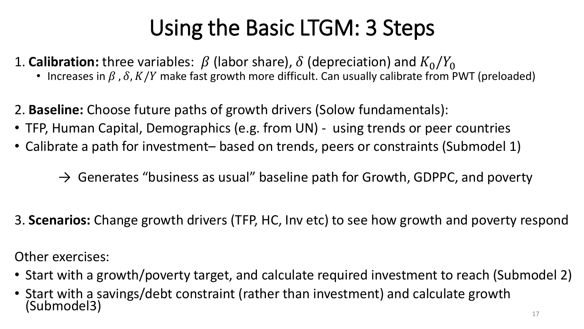# Using the Basic LTGM: 3 Steps

1. **Calibration:** three variables:  $\beta$  (labor share),  $\delta$  (depreciation) and  $K_0/Y_0$ 

- Increases in  $\beta$ ,  $\delta$ ,  $K/Y$  make fast growth more difficult. Can usually calibrate from PWT (preloaded)
- 2. **Baseline:** Choose future paths of growth drivers (Solow fundamentals):
- TFP, Human Capital, Demographics (e.g. from UN) using trends or peer countries
- Calibrate a path for investment– based on trends, peers or constraints (Submodel 1)
	- $\rightarrow$  Generates "business as usual" baseline path for Growth, GDPPC, and poverty
- 3. **Scenarios:** Change growth drivers (TFP, HC, Inv etc) to see how growth and poverty respond

Other exercises:

- Start with a growth/poverty target, and calculate required investment to reach (Submodel 2)
- Start with a savings/debt constraint (rather than investment) and calculate growth (Submodel3)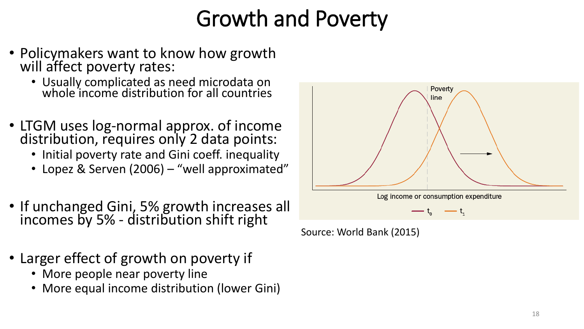# Growth and Poverty

- Policymakers want to know how growth will affect poverty rates:
	- Usually complicated as need microdata on whole income distribution for all countries
- LTGM uses log-normal approx. of income distribution, requires only 2 data points:
	- Initial poverty rate and Gini coeff. inequality
	- Lopez & Serven (2006) "well approximated"
- If unchanged Gini, 5% growth increases all incomes by 5% - distribution shift right
- Larger effect of growth on poverty if
	- More people near poverty line
	- More equal income distribution (lower Gini)



Source: World Bank (2015)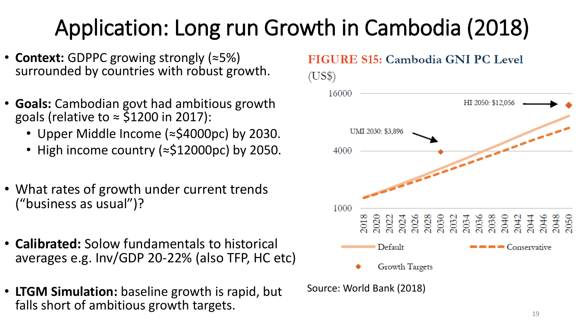# Application: Long run Growth in Cambodia (2018)

- **Context:** GDPPC growing strongly (≈5%) surrounded by countries with robust growth.
- **Goals:** Cambodian govt had ambitious growth goals (relative to  $\approx$  \$1200 in 2017):
	- Upper Middle Income (≈\$4000pc) by 2030.
	- High income country (≈\$12000pc) by 2050.
- What rates of growth under current trends ("business as usual")?
- **Calibrated:** Solow fundamentals to historical averages e.g. Inv/GDP 20-22% (also TFP, HC etc)
- **LTGM Simulation:** baseline growth is rapid, but falls short of ambitious growth targets.

### FIGURE S15: Cambodia GNI PC Level



Source: World Bank (2018)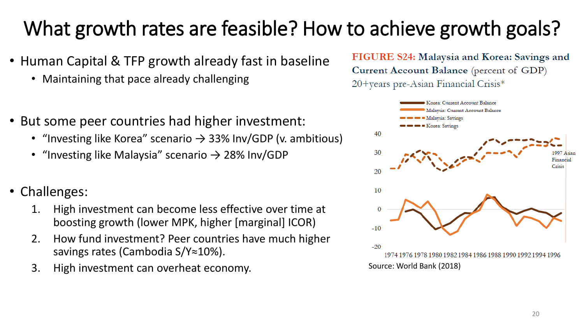## What growth rates are feasible? How to achieve growth goals?

- Human Capital & TFP growth already fast in baseline
	- Maintaining that pace already challenging
- But some peer countries had higher investment:
	- "Investing like Korea" scenario  $\rightarrow$  33% Inv/GDP (v. ambitious)
	- "Investing like Malaysia" scenario  $\rightarrow$  28% Inv/GDP
- Challenges:
	- 1. High investment can become less effective over time at boosting growth (lower MPK, higher [marginal] ICOR)
	- 2. How fund investment? Peer countries have much higher savings rates (Cambodia S/Y≈10%).
	- 3. High investment can overheat economy.

FIGURE S24: Malaysia and Korea: Savings and Current Account Balance (percent of GDP) 20+years pre-Asian Financial Crisis\*

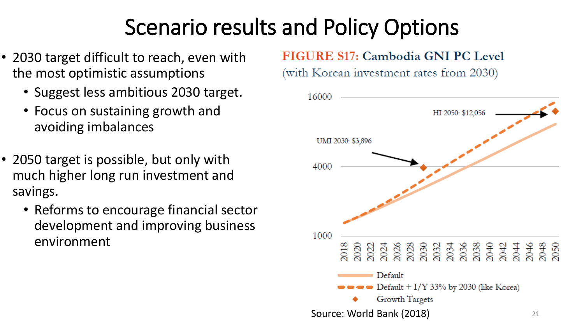# Scenario results and Policy Options

- 2030 target difficult to reach, even with the most optimistic assumptions
	- Suggest less ambitious 2030 target.
	- Focus on sustaining growth and avoiding imbalances
- 2050 target is possible, but only with much higher long run investment and savings.
	- Reforms to encourage financial sector development and improving business environment

### FIGURE S17: Cambodia GNI PC Level

(with Korean investment rates from 2030)

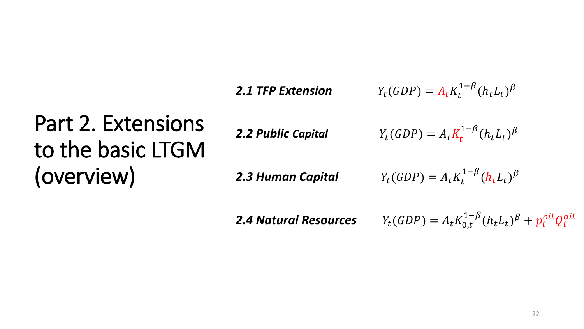**2.1 TFP Extension**  $Y_t(GDP) = A_t K_t^{1-\beta} (h_t L_t)^{\beta}$ 

# Part 2. Extensions to the basic LTGM (overview)

*2.2 Public Capital* () =

$$
Y_t(GDP) = A_t K_t^{1-\beta} (h_t L_t)^{\beta}
$$

**2.3 Human Capital**  $Y_t$ 

$$
H_1(GDP) = A_t K_t^{1-\beta} (h_t L_t)^{\beta}
$$

2.4 Natural Resources  $Y_t(GDP) = A_t K_{0,t}^{1-\beta} (h_t L_t)^{\beta} + p_t^{oil} Q_t^{oil}$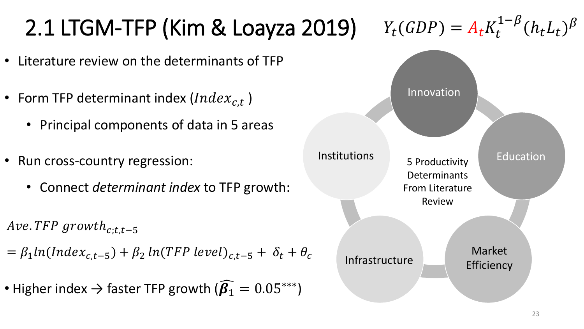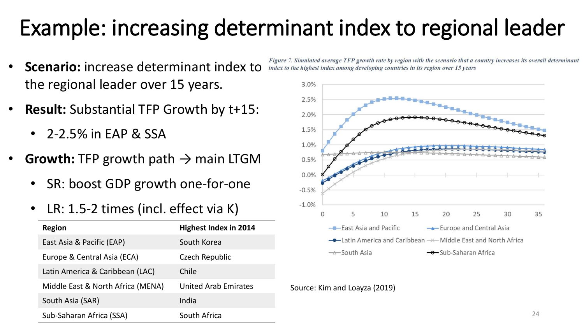# Example: increasing determinant index to regional leader

- **Scenario:** increase determinant index to the regional leader over 15 years.
- **Result:** Substantial TFP Growth by t+15:
	- 2-2.5% in EAP & SSA
- **Growth:** TFP growth path  $\rightarrow$  main LTGM
	- SR: boost GDP growth one-for-one
	- LR: 1.5-2 times (incl. effect via K)

| <b>Region</b>                     | <b>Highest Index in 2014</b> |
|-----------------------------------|------------------------------|
| East Asia & Pacific (EAP)         | South Korea                  |
| Europe & Central Asia (ECA)       | Czech Republic               |
| Latin America & Caribbean (LAC)   | Chile                        |
| Middle East & North Africa (MENA) | <b>United Arab Emirates</b>  |
| South Asia (SAR)                  | India                        |
| Sub-Saharan Africa (SSA)          | South Africa                 |

Figure 7. Simulated average TFP growth rate by region with the scenario that a country increases its overall determinant index to the highest index among developing countries in its region over 15 years



Source: Kim and Loayza (2019)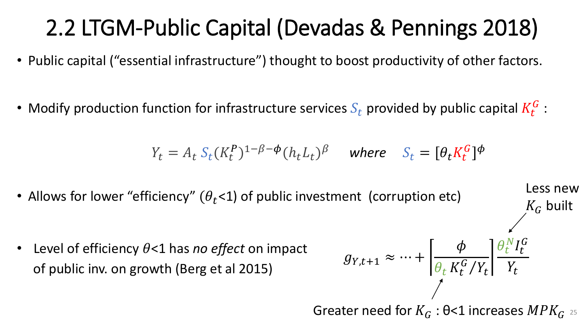# 2.2 LTGM-Public Capital (Devadas & Pennings 2018)

- Public capital ("essential infrastructure") thought to boost productivity of other factors.
- Modify production function for infrastructure services  $S_t$  provided by public capital  $K_t^G$  :

$$
Y_t = A_t S_t (K_t^P)^{1-\beta-\phi} (h_t L_t)^{\beta} \quad \text{where} \quad S_t = [\theta_t K_t^G]^{\phi}
$$

• Allows for lower "efficiency"  $(\theta_t$ <1) of public investment (corruption etc)

• Level of efficiency  $\theta$ <1 has *no effect* on impact of public inv. on growth (Berg et al 2015)

$$
g_{Y,t+1} \approx \dots + \left[\frac{\phi}{\theta_t K_t^G / Y_t}\right] \frac{\theta_t^N I_t^G}{Y_t}
$$

Less new

 $K_G$  built

Greater need for  $K_G$  :  $\Theta$ <1 increases  $MPK_G$  25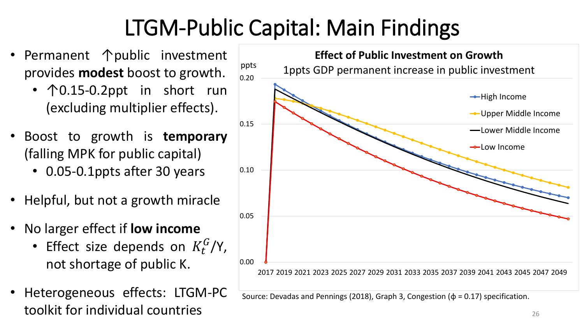# LTGM-Public Capital: Main Findings

- Permanent 个public investment provides **modest** boost to growth.
	- ↑0.15-0.2ppt in short run (excluding multiplier effects).
- Boost to growth is **temporary** (falling MPK for public capital)
	- 0.05-0.1ppts after 30 years
- Helpful, but not a growth miracle
- No larger effect if **low income**
	- Effect size depends on  $K_t^G/Y$ , not shortage of public K.
- Heterogeneous effects: LTGM-PC toolkit for individual countries



Source: Devadas and Pennings (2018), Graph 3, Congestion ( $\phi$  = 0.17) specification.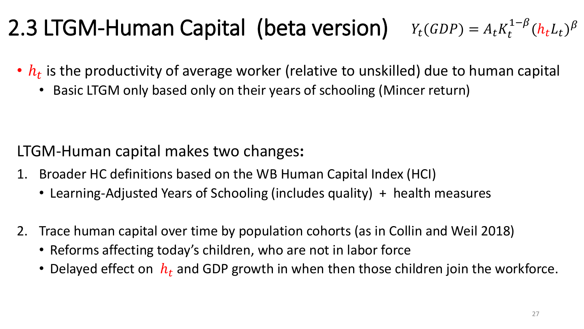#### 2.3 LTGM-Human Capital (beta version)  $Y_t(GDP) = A_t K_t^{1-\beta} (h_t L_t)^{\beta}$

- $h_t$  is the productivity of average worker (relative to unskilled) due to human capital
	- Basic LTGM only based only on their years of schooling (Mincer return)

LTGM-Human capital makes two changes**:** 

- 1. Broader HC definitions based on the WB Human Capital Index (HCI)
	- Learning-Adjusted Years of Schooling (includes quality) + health measures
- 2. Trace human capital over time by population cohorts (as in Collin and Weil 2018)
	- Reforms affecting today's children, who are not in labor force
	- Delayed effect on  $h_t$  and GDP growth in when then those children join the workforce.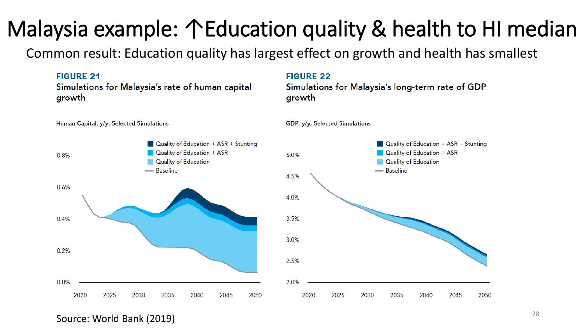# Malaysia example: ↑Education quality & health to HI median

Common result: Education quality has largest effect on growth and health has smallest



Source: World Bank (2019)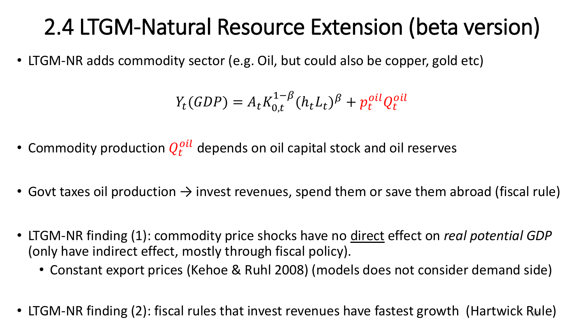# 2.4 LTGM-Natural Resource Extension (beta version)

• LTGM-NR adds commodity sector (e.g. Oil, but could also be copper, gold etc)

$$
Y_t(GDP) = A_t K_{0,t}^{1-\beta} (h_t L_t)^{\beta} + p_t^{oil} Q_t^{oil}
$$

- Commodity production  $Q_t^{oil}$  depends on oil capital stock and oil reserves
- Govt taxes oil production  $\rightarrow$  invest revenues, spend them or save them abroad (fiscal rule)
- LTGM-NR finding (1): commodity price shocks have no direct effect on *real potential GDP* (only have indirect effect, mostly through fiscal policy).
	- Constant export prices (Kehoe & Ruhl 2008) (models does not consider demand side)
- LTGM-NR finding (2): fiscal rules that invest revenues have fastest growth (Hartwick Rule)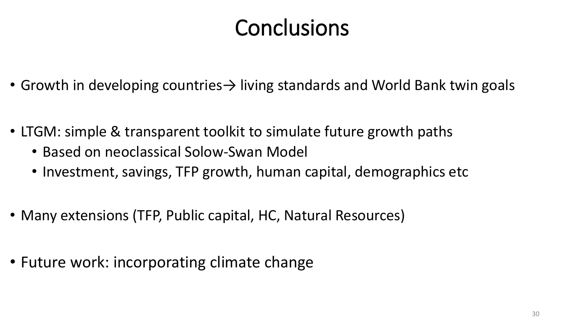# **Conclusions**

- Growth in developing countries→ living standards and World Bank twin goals
- LTGM: simple & transparent toolkit to simulate future growth paths
	- Based on neoclassical Solow-Swan Model
	- Investment, savings, TFP growth, human capital, demographics etc
- Many extensions (TFP, Public capital, HC, Natural Resources)
- Future work: incorporating climate change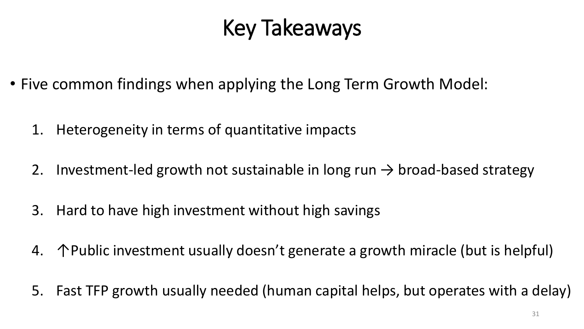# Key Takeaways

- Five common findings when applying the Long Term Growth Model:
	- 1. Heterogeneity in terms of quantitative impacts
	- 2. Investment-led growth not sustainable in long run  $\rightarrow$  broad-based strategy
	- 3. Hard to have high investment without high savings
	- 4. ↑Public investment usually doesn't generate a growth miracle (but is helpful)
	- 5. Fast TFP growth usually needed (human capital helps, but operates with a delay)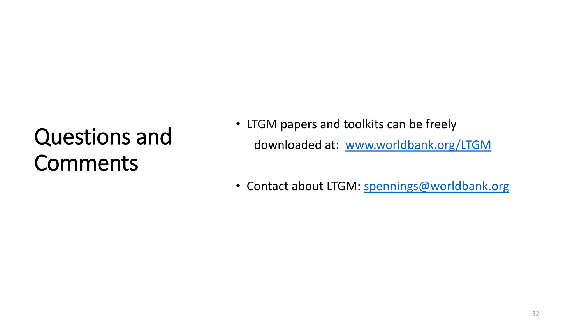# Questions and Comments

- LTGM papers and toolkits can be freely downloaded at: [www.worldbank.org/LTGM](http://www.worldbank.org/LTGM)
- Contact about LTGM: [spennings@worldbank.org](mailto:%20spennings@worldbank.org)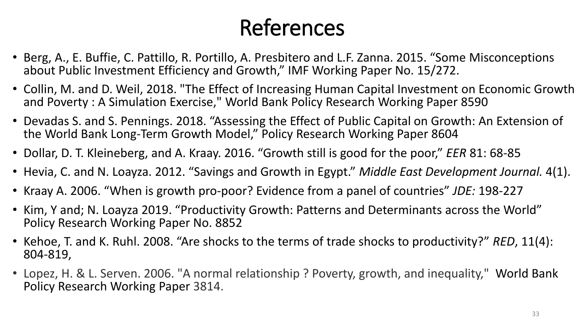# References

- Berg, A., E. Buffie, C. Pattillo, R. Portillo, A. Presbitero and L.F. Zanna. 2015. "Some Misconceptions about Public Investment Efficiency and Growth," IMF Working Paper No. 15/272.
- Collin, M. and D. Weil, 2018. "The Effect of Increasing Human Capital Investment on Economic Growth and Poverty : A Simulation Exercise," World Bank Policy Research Working Paper 8590
- Devadas S. and S. Pennings. 2018. "Assessing the Effect of Public Capital on Growth: An Extension of the World Bank Long-Term Growth Model," Policy Research Working Paper 8604
- Dollar, D. T. Kleineberg, and A. Kraay. 2016. "Growth still is good for the poor," *EER* 81: 68-85
- Hevia, C. and N. Loayza. 2012. "Savings and Growth in Egypt." *Middle East Development Journal.* 4(1).
- Kraay A. 2006. "When is growth pro-poor? Evidence from a panel of countries" *JDE:* 198-227
- Kim, Y and; N. Loayza 2019. "Productivity Growth: Patterns and Determinants across the World" Policy Research Working Paper No. 8852
- Kehoe, T. and K. Ruhl. 2008. "Are shocks to the terms of trade shocks to productivity?" *RED*, 11(4): 804-819,
- Lopez, H. & L. Serven. 2006. "A normal relationship ? Poverty, growth, and inequality," World Bank Policy Research Working Paper 3814.